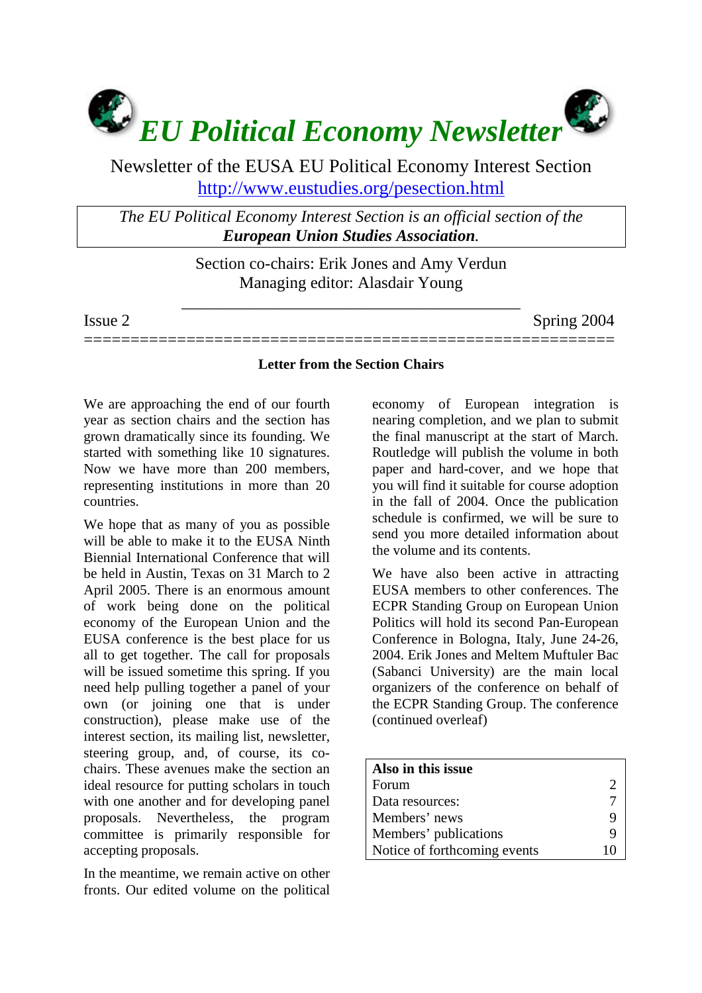

Newsletter of the EUSA EU Political Economy Interest Section <http://www.eustudies.org/pesection.html>

*The EU Political Economy Interest Section is an official section of the European Union Studies Association.* 

> Section co-chairs: Erik Jones and Amy Verdun Managing editor: Alasdair Young

\_\_\_\_\_\_\_\_\_\_\_\_\_\_\_\_\_\_\_\_\_\_\_\_\_\_\_\_\_\_\_\_\_\_\_\_\_\_\_\_\_

Issue 2 Spring 2004

## **Letter from the Section Chairs**

=========================================================

We are approaching the end of our fourth year as section chairs and the section has grown dramatically since its founding. We started with something like 10 signatures. Now we have more than 200 members, representing institutions in more than 20 countries.

We hope that as many of you as possible will be able to make it to the EUSA Ninth Biennial International Conference that will be held in Austin, Texas on 31 March to 2 April 2005. There is an enormous amount of work being done on the political economy of the European Union and the EUSA conference is the best place for us all to get together. The call for proposals will be issued sometime this spring. If you need help pulling together a panel of your own (or joining one that is under construction), please make use of the interest section, its mailing list, newsletter, steering group, and, of course, its cochairs. These avenues make the section an ideal resource for putting scholars in touch with one another and for developing panel proposals. Nevertheless, the program committee is primarily responsible for accepting proposals.

In the meantime, we remain active on other fronts. Our edited volume on the political

economy of European integration is nearing completion, and we plan to submit the final manuscript at the start of March. Routledge will publish the volume in both paper and hard-cover, and we hope that you will find it suitable for course adoption in the fall of 2004. Once the publication schedule is confirmed, we will be sure to send you more detailed information about the volume and its contents.

We have also been active in attracting EUSA members to other conferences. The ECPR Standing Group on European Union Politics will hold its second Pan-European Conference in Bologna, Italy, June 24-26, 2004. Erik Jones and Meltem Muftuler Bac (Sabanci University) are the main local organizers of the conference on behalf of the ECPR Standing Group. The conference (continued overleaf)

| Also in this issue           |  |
|------------------------------|--|
| Forum                        |  |
| Data resources:              |  |
| Members' news                |  |
| Members' publications        |  |
| Notice of forthcoming events |  |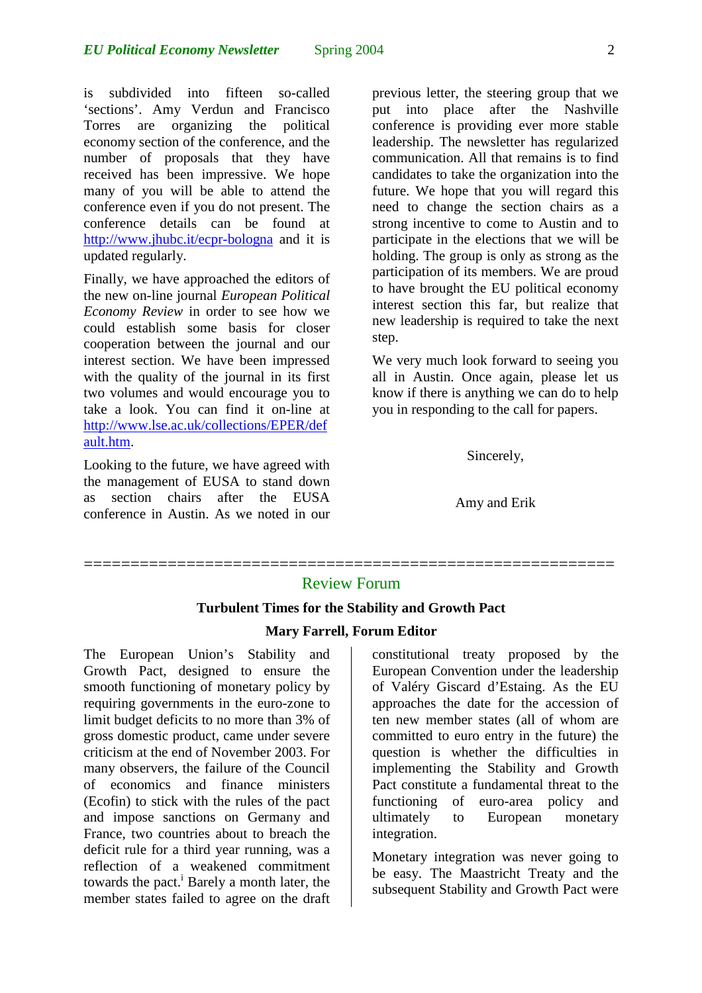is subdivided into fifteen so-called 'sections'. Amy Verdun and Francisco Torres are organizing the political economy section of the conference, and the number of proposals that they have received has been impressive. We hope many of you will be able to attend the conference even if you do not present. The conference details can be found at <http://www.jhubc.it/ecpr-bologna>and it is updated regularly.

Finally, we have approached the editors of the new on-line journal *European Political Economy Review* in order to see how we could establish some basis for closer cooperation between the journal and our interest section. We have been impressed with the quality of the journal in its first two volumes and would encourage you to take a look. You can find it on-line at [http://www.lse.ac.uk/collections/EPER/def](http://www.lse.ac.uk/collections/EPER/default.htm) [ault.htm.](http://www.lse.ac.uk/collections/EPER/default.htm)

Looking to the future, we have agreed with the management of EUSA to stand down as section chairs after the EUSA conference in Austin. As we noted in our

previous letter, the steering group that we put into place after the Nashville conference is providing ever more stable leadership. The newsletter has regularized communication. All that remains is to find candidates to take the organization into the future. We hope that you will regard this need to change the section chairs as a strong incentive to come to Austin and to participate in the elections that we will be holding. The group is only as strong as the participation of its members. We are proud to have brought the EU political economy interest section this far, but realize that new leadership is required to take the next step.

We very much look forward to seeing you all in Austin. Once again, please let us know if there is anything we can do to help you in responding to the call for papers.

### Sincerely,

Amy and Erik

# ========================================================= Review Forum

### **Turbulent Times for the Stability and Growth Pact**

#### **Mary Farrell, Forum Editor**

The European Union's Stability and Growth Pact, designed to ensure the smooth functioning of monetary policy by requiring governments in the euro-zone to limit budget deficits to no more than 3% of gross domestic product, came under severe criticism at the end of November 2003. For many observers, the failure of the Council of economics and finance ministers (Ecofin) to stick with the rules of the pact and impose sanctions on Germany and France, two countries about to breach the deficit rule for a third year running, was a reflection of a weakened commitment towards the pact.<sup>[i](#page-6-0)</sup> Barely a month later, the member states failed to agree on the draft

constitutional treaty proposed by the European Convention under the leadership of Valéry Giscard d'Estaing. As the EU approaches the date for the accession of ten new member states (all of whom are committed to euro entry in the future) the question is whether the difficulties in implementing the Stability and Growth Pact constitute a fundamental threat to the functioning of euro-area policy and ultimately to European monetary integration.

Monetary integration was never going to be easy. The Maastricht Treaty and the subsequent Stability and Growth Pact were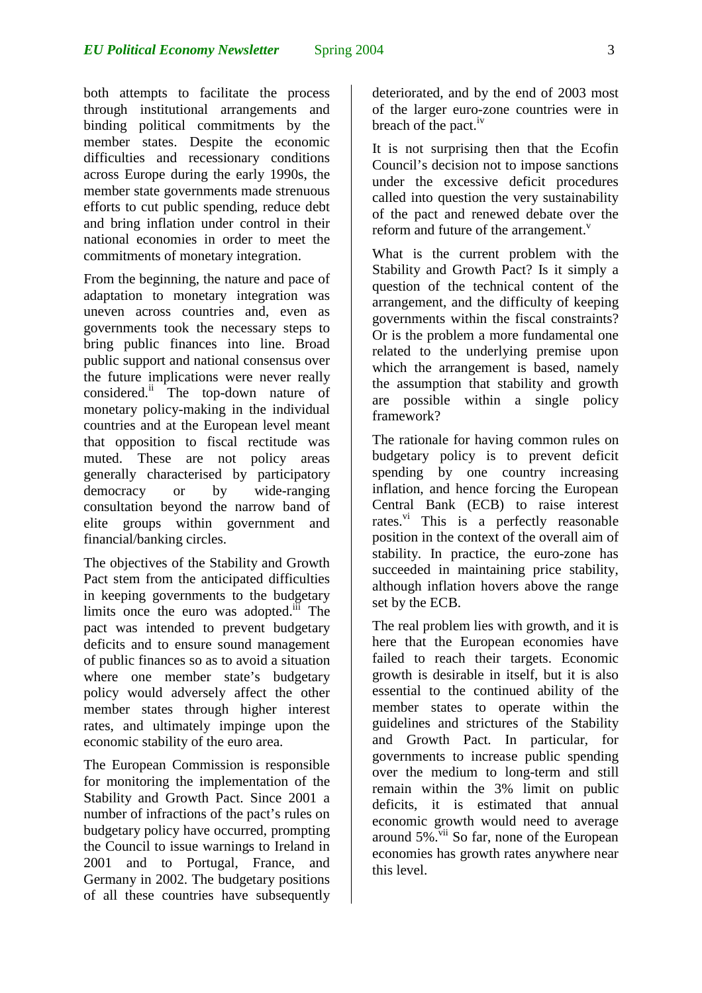both attempts to facilitate the process through institutional arrangements and binding political commitments by the member states. Despite the economic difficulties and recessionary conditions across Europe during the early 1990s, the member state governments made strenuous efforts to cut public spending, reduce debt and bring inflation under control in their national economies in order to meet the commitments of monetary integration.

From the beginning, the nature and pace of adaptation to monetary integration was uneven across countries and, even as governments took the necessary steps to bring public finances into line. Broad public support and national consensus over the future implications were never really considered.[ii](#page-6-1) The top-down nature of monetary policy-making in the individual countries and at the European level meant that opposition to fiscal rectitude was muted. These are not policy areas generally characterised by participatory democracy or by wide-ranging consultation beyond the narrow band of elite groups within government and financial/banking circles.

The objectives of the Stability and Growth Pact stem from the anticipated difficulties in keeping governments to the budgetary limits once the euro was adopted.<sup>iii</sup> The pact was intended to prevent budgetary deficits and to ensure sound management of public finances so as to avoid a situation where one member state's budgetary policy would adversely affect the other member states through higher interest rates, and ultimately impinge upon the economic stability of the euro area.

The European Commission is responsible for monitoring the implementation of the Stability and Growth Pact. Since 2001 a number of infractions of the pact's rules on budgetary policy have occurred, prompting the Council to issue warnings to Ireland in 2001 and to Portugal, France, and Germany in 2002. The budgetary positions of all these countries have subsequently deteriorated, and by the end of 2003 most of the larger euro-zone countries were in breach of the pact.<sup>iv</sup>

It is not surprising then that the Ecofin Council's decision not to impose sanctions under the excessive deficit procedures called into question the very sustainability of the pact and renewed debate over the reform and future of the arrangement.<sup>[v](#page-6-4)</sup>

What is the current problem with the Stability and Growth Pact? Is it simply a question of the technical content of the arrangement, and the difficulty of keeping governments within the fiscal constraints? Or is the problem a more fundamental one related to the underlying premise upon which the arrangement is based, namely the assumption that stability and growth are possible within a single policy framework?

The rationale for having common rules on budgetary policy is to prevent deficit spending by one country increasing inflation, and hence forcing the European Central Bank (ECB) to raise interest rates. $\overline{v}$  This is a perfectly reasonable position in the context of the overall aim of stability. In practice, the euro-zone has succeeded in maintaining price stability, although inflation hovers above the range set by the ECB.

The real problem lies with growth, and it is here that the European economies have failed to reach their targets. Economic growth is desirable in itself, but it is also essential to the continued ability of the member states to operate within the guidelines and strictures of the Stability and Growth Pact. In particular, for governments to increase public spending over the medium to long-term and still remain within the 3% limit on public deficits, it is estimated that annual economic growth would need to average around  $5\%$ .  $\frac{v_{ii}}{v}$  So far, none of the European economies has growth rates anywhere near this level.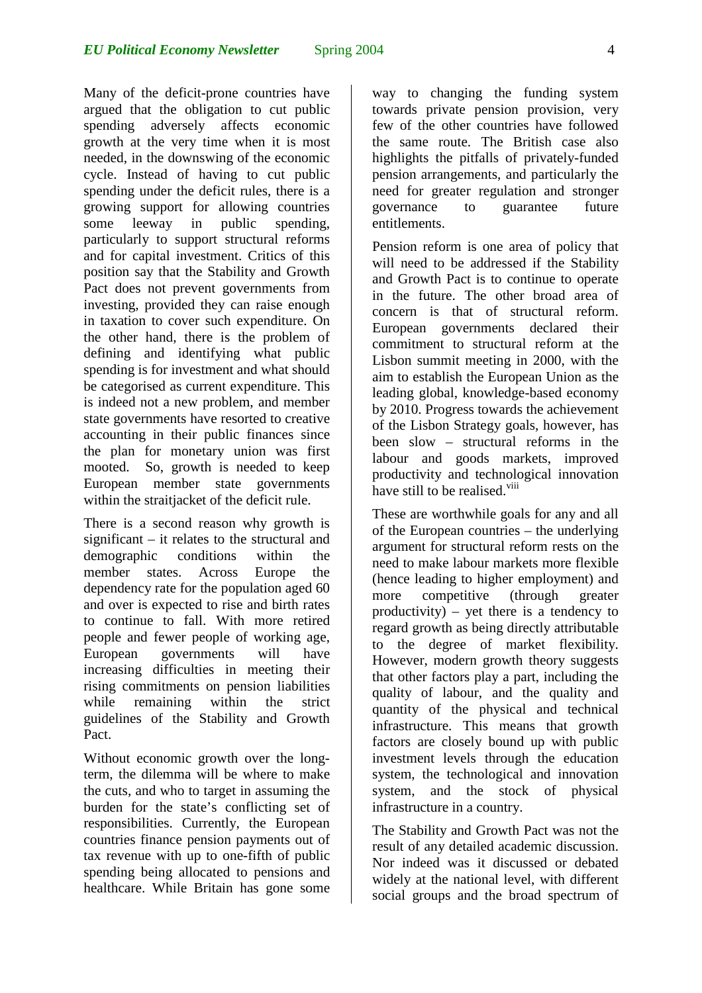Many of the deficit-prone countries have argued that the obligation to cut public spending adversely affects economic growth at the very time when it is most needed, in the downswing of the economic cycle. Instead of having to cut public spending under the deficit rules, there is a growing support for allowing countries some leeway in public spending, particularly to support structural reforms and for capital investment. Critics of this position say that the Stability and Growth Pact does not prevent governments from investing, provided they can raise enough in taxation to cover such expenditure. On the other hand, there is the problem of defining and identifying what public spending is for investment and what should be categorised as current expenditure. This is indeed not a new problem, and member state governments have resorted to creative accounting in their public finances since the plan for monetary union was first mooted. So, growth is needed to keep European member state governments within the straitjacket of the deficit rule.

There is a second reason why growth is significant – it relates to the structural and demographic conditions within the member states. Across Europe the dependency rate for the population aged 60 and over is expected to rise and birth rates to continue to fall. With more retired people and fewer people of working age, European governments will have increasing difficulties in meeting their rising commitments on pension liabilities while remaining within the strict guidelines of the Stability and Growth Pact.

Without economic growth over the longterm, the dilemma will be where to make the cuts, and who to target in assuming the burden for the state's conflicting set of responsibilities. Currently, the European countries finance pension payments out of tax revenue with up to one-fifth of public spending being allocated to pensions and healthcare. While Britain has gone some way to changing the funding system towards private pension provision, very few of the other countries have followed the same route. The British case also highlights the pitfalls of privately-funded pension arrangements, and particularly the need for greater regulation and stronger governance to guarantee future entitlements.

Pension reform is one area of policy that will need to be addressed if the Stability and Growth Pact is to continue to operate in the future. The other broad area of concern is that of structural reform. European governments declared their commitment to structural reform at the Lisbon summit meeting in 2000, with the aim to establish the European Union as the leading global, knowledge-based economy by 2010. Progress towards the achievement of the Lisbon Strategy goals, however, has been slow – structural reforms in the labour and goods markets, improved productivity and technological innovation have still to be realised.<sup>viii</sup>

These are worthwhile goals for any and all of the European countries – the underlying argument for structural reform rests on the need to make labour markets more flexible (hence leading to higher employment) and more competitive (through greater productivity) – yet there is a tendency to regard growth as being directly attributable to the degree of market flexibility. However, modern growth theory suggests that other factors play a part, including the quality of labour, and the quality and quantity of the physical and technical infrastructure. This means that growth factors are closely bound up with public investment levels through the education system, the technological and innovation system, and the stock of physical infrastructure in a country.

The Stability and Growth Pact was not the result of any detailed academic discussion. Nor indeed was it discussed or debated widely at the national level, with different social groups and the broad spectrum of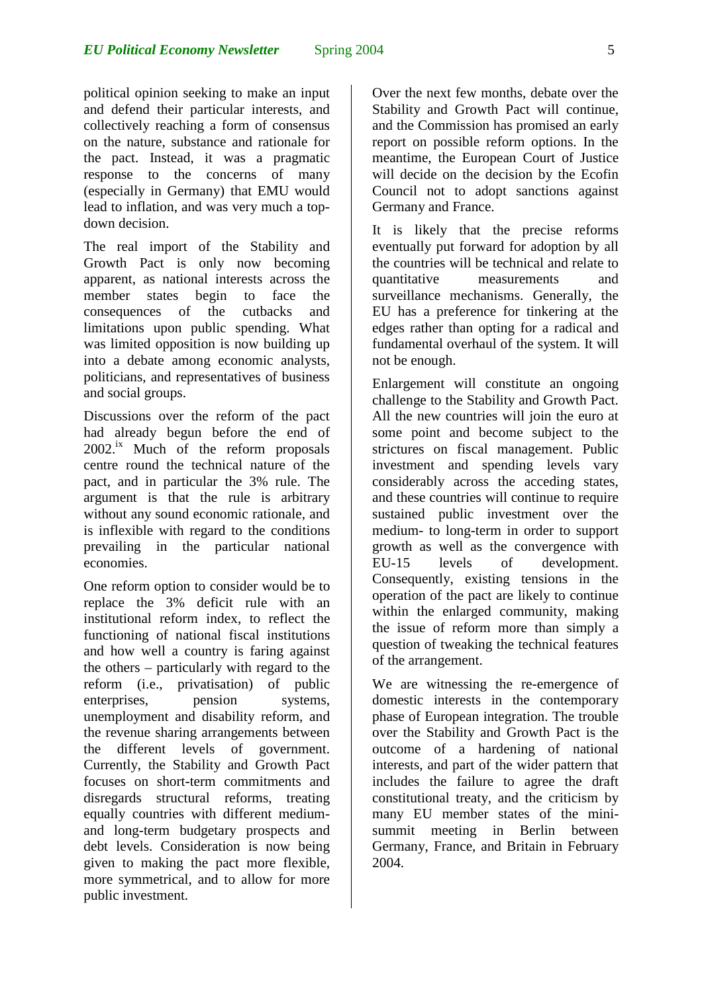political opinion seeking to make an input and defend their particular interests, and collectively reaching a form of consensus on the nature, substance and rationale for the pact. Instead, it was a pragmatic response to the concerns of many (especially in Germany) that EMU would lead to inflation, and was very much a topdown decision.

The real import of the Stability and Growth Pact is only now becoming apparent, as national interests across the member states begin to face the consequences of the cutbacks and limitations upon public spending. What was limited opposition is now building up into a debate among economic analysts, politicians, and representatives of business and social groups.

Discussions over the reform of the pact had already begun before the end of  $2002$ <sup>ix</sup> Much of the reform proposals centre round the technical nature of the pact, and in particular the 3% rule. The argument is that the rule is arbitrary without any sound economic rationale, and is inflexible with regard to the conditions prevailing in the particular national economies.

One reform option to consider would be to replace the 3% deficit rule with an institutional reform index, to reflect the functioning of national fiscal institutions and how well a country is faring against the others – particularly with regard to the reform (i.e., privatisation) of public enterprises, pension systems, unemployment and disability reform, and the revenue sharing arrangements between the different levels of government. Currently, the Stability and Growth Pact focuses on short-term commitments and disregards structural reforms, treating equally countries with different mediumand long-term budgetary prospects and debt levels. Consideration is now being given to making the pact more flexible, more symmetrical, and to allow for more public investment.

Over the next few months, debate over the Stability and Growth Pact will continue, and the Commission has promised an early report on possible reform options. In the meantime, the European Court of Justice will decide on the decision by the Ecofin Council not to adopt sanctions against Germany and France.

It is likely that the precise reforms eventually put forward for adoption by all the countries will be technical and relate to quantitative measurements and surveillance mechanisms. Generally, the EU has a preference for tinkering at the edges rather than opting for a radical and fundamental overhaul of the system. It will not be enough.

Enlargement will constitute an ongoing challenge to the Stability and Growth Pact. All the new countries will join the euro at some point and become subject to the strictures on fiscal management. Public investment and spending levels vary considerably across the acceding states, and these countries will continue to require sustained public investment over the medium- to long-term in order to support growth as well as the convergence with EU-15 levels of development. Consequently, existing tensions in the operation of the pact are likely to continue within the enlarged community, making the issue of reform more than simply a question of tweaking the technical features of the arrangement.

We are witnessing the re-emergence of domestic interests in the contemporary phase of European integration. The trouble over the Stability and Growth Pact is the outcome of a hardening of national interests, and part of the wider pattern that includes the failure to agree the draft constitutional treaty, and the criticism by many EU member states of the minisummit meeting in Berlin between Germany, France, and Britain in February 2004.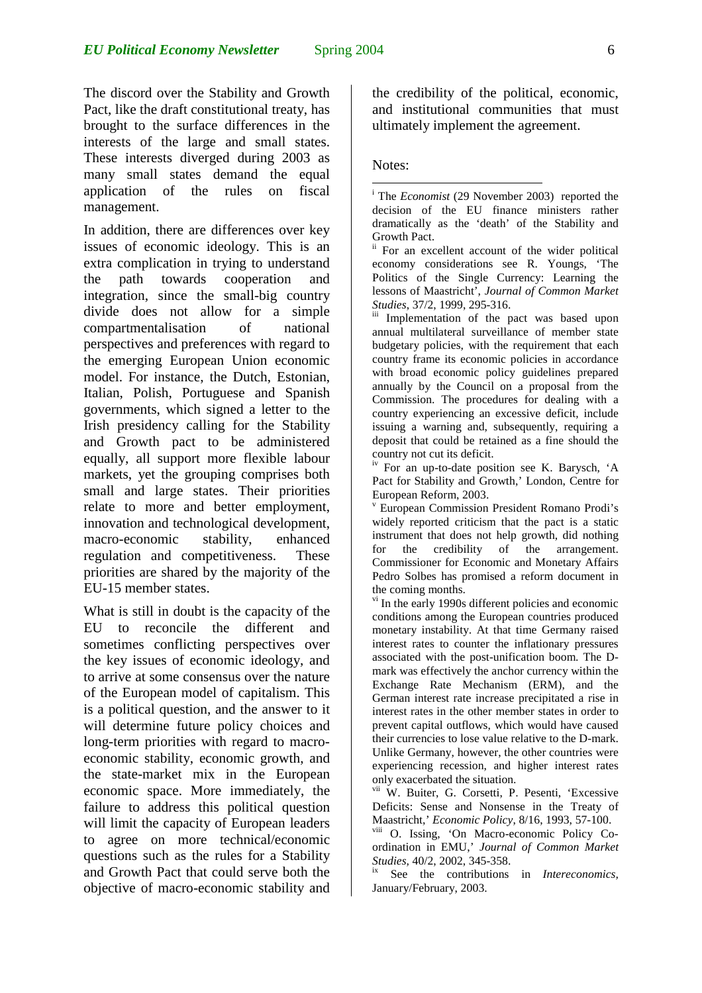The discord over the Stability and Growth Pact, like the draft constitutional treaty, has brought to the surface differences in the interests of the large and small states. These interests diverged during 2003 as many small states demand the equal application of the rules on fiscal management.

In addition, there are differences over key issues of economic ideology. This is an extra complication in trying to understand the path towards cooperation and integration, since the small-big country divide does not allow for a simple compartmentalisation of national perspectives and preferences with regard to the emerging European Union economic model. For instance, the Dutch, Estonian, Italian, Polish, Portuguese and Spanish governments, which signed a letter to the Irish presidency calling for the Stability and Growth pact to be administered equally, all support more flexible labour markets, yet the grouping comprises both small and large states. Their priorities relate to more and better employment, innovation and technological development, macro-economic stability, enhanced regulation and competitiveness. These priorities are shared by the majority of the EU-15 member states.

What is still in doubt is the capacity of the EU to reconcile the different and sometimes conflicting perspectives over the key issues of economic ideology, and to arrive at some consensus over the nature of the European model of capitalism. This is a political question, and the answer to it will determine future policy choices and long-term priorities with regard to macroeconomic stability, economic growth, and the state-market mix in the European economic space. More immediately, the failure to address this political question will limit the capacity of European leaders to agree on more technical/economic questions such as the rules for a Stability and Growth Pact that could serve both the objective of macro-economic stability and the credibility of the political, economic, and institutional communities that must ultimately implement the agreement.

#### Notes:

 $\overline{a}$ 

<sup>i</sup> The *Economist* (29 November 2003) reported the decision of the EU finance ministers rather dramatically as the 'death' of the Stability and Growth Pact.

ii For an excellent account of the wider political economy considerations see R. Youngs, 'The Politics of the Single Currency: Learning the lessons of Maastricht', *Journal of Common Market Studies*, 37/2, 1999, 295-316.<br>iii Implementation of the pact was based upon

annual multilateral surveillance of member state budgetary policies, with the requirement that each country frame its economic policies in accordance with broad economic policy guidelines prepared annually by the Council on a proposal from the Commission. The procedures for dealing with a country experiencing an excessive deficit, include issuing a warning and, subsequently, requiring a deposit that could be retained as a fine should the country not cut its deficit.

iv For an up-to-date position see K. Barysch, 'A Pact for Stability and Growth,' London, Centre for European Reform, 2003.

v European Commission President Romano Prodi's widely reported criticism that the pact is a static instrument that does not help growth, did nothing for the credibility of the arrangement. Commissioner for Economic and Monetary Affairs Pedro Solbes has promised a reform document in the coming months.

 $\theta$ <sup>vi</sup> In the early 1990s different policies and economic conditions among the European countries produced monetary instability. At that time Germany raised interest rates to counter the inflationary pressures associated with the post-unification boom. The Dmark was effectively the anchor currency within the Exchange Rate Mechanism (ERM), and the German interest rate increase precipitated a rise in interest rates in the other member states in order to prevent capital outflows, which would have caused their currencies to lose value relative to the D-mark. Unlike Germany, however, the other countries were experiencing recession, and higher interest rates only exacerbated the situation.

vii W. Buiter, G. Corsetti, P. Pesenti, 'Excessive Deficits: Sense and Nonsense in the Treaty of Maastricht,' *Economic Policy*, 8/16, 1993, 57-100.

viii O. Issing, 'On Macro-economic Policy Coordination in EMU,' *Journal of Common Market Studies, 40/2, 2002, 345-358.*<br><sup>ix</sup> See the contributions in *Intereconomics*,

January/February, 2003.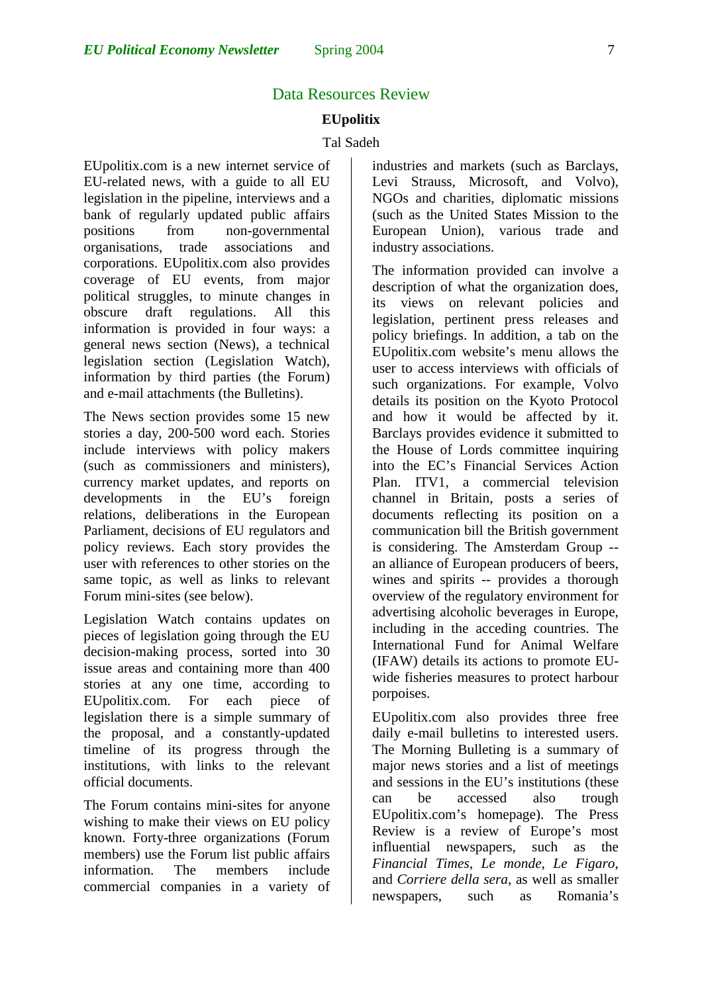## Data Resources Review

### **EUpolitix**

#### Tal Sadeh

EUpolitix.com is a new internet service of EU-related news, with a guide to all EU legislation in the pipeline, interviews and a bank of regularly updated public affairs positions from non-governmental organisations, trade associations and corporations. EUpolitix.com also provides coverage of EU events, from major political struggles, to minute changes in obscure draft regulations. All this information is provided in four ways: a general news section (News), a technical legislation section (Legislation Watch), information by third parties (the Forum) and e-mail attachments (the Bulletins).

The News section provides some 15 new stories a day, 200-500 word each. Stories include interviews with policy makers (such as commissioners and ministers), currency market updates, and reports on developments in the EU's foreign relations, deliberations in the European Parliament, decisions of EU regulators and policy reviews. Each story provides the user with references to other stories on the same topic, as well as links to relevant Forum mini-sites (see below).

Legislation Watch contains updates on pieces of legislation going through the EU decision-making process, sorted into 30 issue areas and containing more than 400 stories at any one time, according to EUpolitix.com. For each piece of legislation there is a simple summary of the proposal, and a constantly-updated timeline of its progress through the institutions, with links to the relevant official documents.

The Forum contains mini-sites for anyone wishing to make their views on EU policy known. Forty-three organizations (Forum members) use the Forum list public affairs information. The members include commercial companies in a variety of

<span id="page-6-3"></span><span id="page-6-0"></span>industries and markets (such as Barclays, Levi Strauss, Microsoft, and Volvo), NGOs and charities, diplomatic missions (such as the United States Mission to the European Union), various trade and industry associations.

<span id="page-6-8"></span><span id="page-6-7"></span><span id="page-6-4"></span><span id="page-6-1"></span>The information provided can involve a description of what the organization does, its views on relevant policies and legislation, pertinent press releases and policy briefings. In addition, a tab on the EUpolitix.com website's menu allows the user to access interviews with officials of such organizations. For example, Volvo details its position on the Kyoto Protocol and how it would be affected by it. Barclays provides evidence it submitted to the House of Lords committee inquiring into the EC's Financial Services Action Plan. ITV1, a commercial television channel in Britain, posts a series of documents reflecting its position on a communication bill the British government is considering. The Amsterdam Group - an alliance of European producers of beers, wines and spirits -- provides a thorough overview of the regulatory environment for advertising alcoholic beverages in Europe, including in the acceding countries. The International Fund for Animal Welfare (IFAW) details its actions to promote EUwide fisheries measures to protect harbour porpoises.

<span id="page-6-6"></span><span id="page-6-5"></span><span id="page-6-2"></span>EUpolitix.com also provides three free daily e-mail bulletins to interested users. The Morning Bulleting is a summary of major news stories and a list of meetings and sessions in the EU's institutions (these can be accessed also trough EUpolitix.com's homepage). The Press Review is a review of Europe's most influential newspapers, such as the *Financial Times*, *Le monde*, *Le Figaro*, and *Corriere della sera*, as well as smaller newspapers, such as Romania's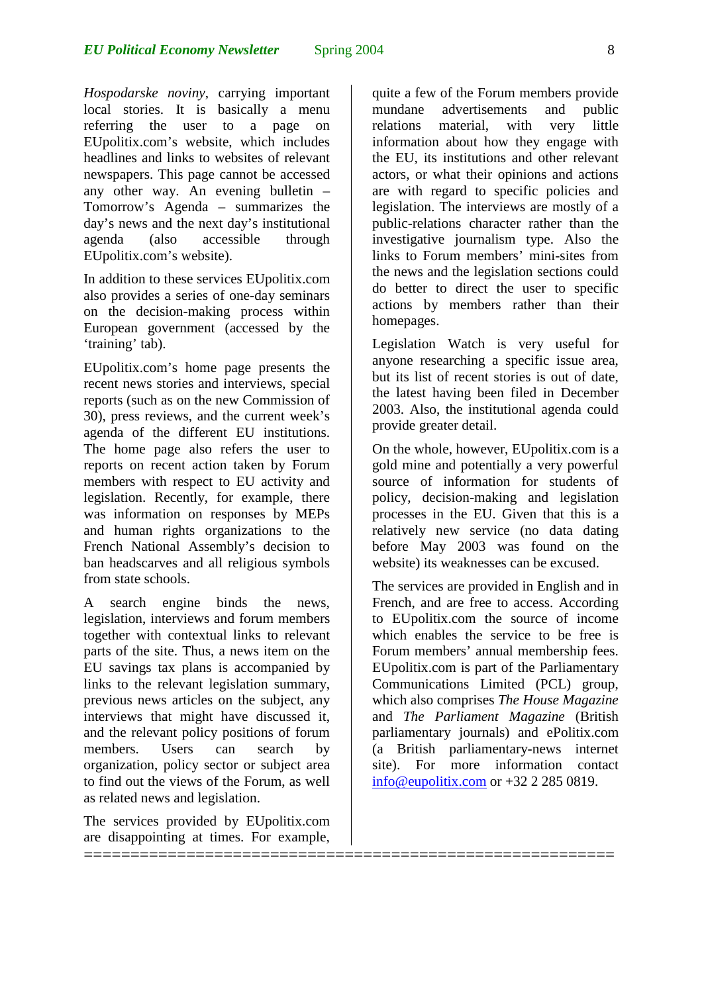*Hospodarske noviny*, carrying important local stories. It is basically a menu referring the user to a page on EUpolitix.com's website, which includes headlines and links to websites of relevant newspapers. This page cannot be accessed any other way. An evening bulletin – Tomorrow's Agenda – summarizes the day's news and the next day's institutional agenda (also accessible through EUpolitix.com's website).

In addition to these services EUpolitix.com also provides a series of one-day seminars on the decision-making process within European government (accessed by the 'training' tab).

EUpolitix.com's home page presents the recent news stories and interviews, special reports (such as on the new Commission of 30), press reviews, and the current week's agenda of the different EU institutions. The home page also refers the user to reports on recent action taken by Forum members with respect to EU activity and legislation. Recently, for example, there was information on responses by MEPs and human rights organizations to the French National Assembly's decision to ban headscarves and all religious symbols from state schools.

A search engine binds the news, legislation, interviews and forum members together with contextual links to relevant parts of the site. Thus, a news item on the EU savings tax plans is accompanied by links to the relevant legislation summary, previous news articles on the subject, any interviews that might have discussed it, and the relevant policy positions of forum members. Users can search by organization, policy sector or subject area to find out the views of the Forum, as well as related news and legislation.

The services provided by EUpolitix.com are disappointing at times. For example,

=========================================================

quite a few of the Forum members provide mundane advertisements and public relations material, with very little information about how they engage with the EU, its institutions and other relevant actors, or what their opinions and actions are with regard to specific policies and legislation. The interviews are mostly of a public-relations character rather than the investigative journalism type. Also the links to Forum members' mini-sites from the news and the legislation sections could do better to direct the user to specific actions by members rather than their homepages.

Legislation Watch is very useful for anyone researching a specific issue area, but its list of recent stories is out of date, the latest having been filed in December 2003. Also, the institutional agenda could provide greater detail.

On the whole, however, EUpolitix.com is a gold mine and potentially a very powerful source of information for students of policy, decision-making and legislation processes in the EU. Given that this is a relatively new service (no data dating before May 2003 was found on the website) its weaknesses can be excused.

The services are provided in English and in French, and are free to access. According to EUpolitix.com the source of income which enables the service to be free is Forum members' annual membership fees. EUpolitix.com is part of the Parliamentary Communications Limited (PCL) group, which also comprises *The House Magazine* and *The Parliament Magazine* (British parliamentary journals) and ePolitix.com (a British parliamentary-news internet site). For more information contact [info@eupolitix.com](mailto:info@eupolitix.com) or +32 2 285 0819.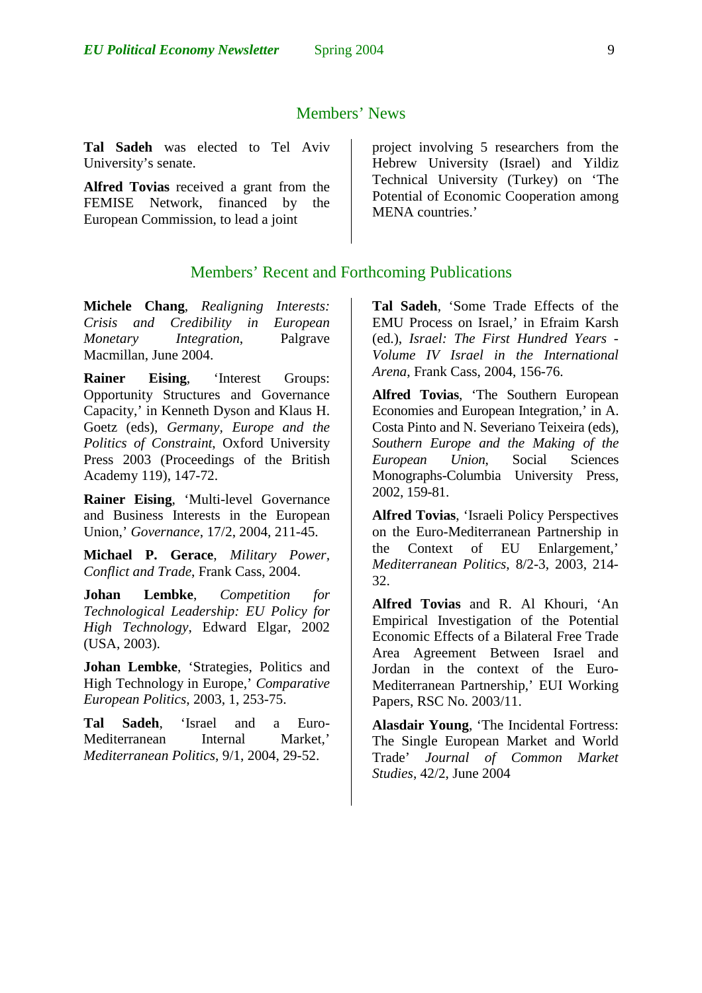**Tal Sadeh** was elected to Tel Aviv University's senate.

**Alfred Tovias** received a grant from the FEMISE Network, financed by the European Commission, to lead a joint

project involving 5 researchers from the Hebrew University (Israel) and Yildiz Technical University (Turkey) on 'The Potential of Economic Cooperation among MENA countries.'

## Members' Recent and Forthcoming Publications

**Michele Chang**, *Realigning Interests: Crisis and Credibility in European Monetary Integration*, Palgrave Macmillan, June 2004.

**Rainer Eising**, 'Interest Groups: Opportunity Structures and Governance Capacity,' in Kenneth Dyson and Klaus H. Goetz (eds), *Germany, Europe and the Politics of Constraint*, Oxford University Press 2003 (Proceedings of the British Academy 119), 147-72.

**Rainer Eising**, 'Multi-level Governance and Business Interests in the European Union,' *Governance*, 17/2, 2004, 211-45.

**Michael P. Gerace**, *Military Power, Conflict and Trade*, Frank Cass, 2004.

**Johan Lembke**, *Competition for Technological Leadership: EU Policy for High Technology*, Edward Elgar, 2002 (USA, 2003).

**Johan Lembke**, 'Strategies, Politics and High Technology in Europe,' *Comparative European Politics*, 2003, 1, 253-75.

**Tal Sadeh**, 'Israel and a Euro-Mediterranean Internal Market,' *Mediterranean Politics*, 9/1, 2004, 29-52.

**Tal Sadeh**, 'Some Trade Effects of the EMU Process on Israel,' in Efraim Karsh (ed.), *Israel: The First Hundred Years - Volume IV Israel in the International Arena*, Frank Cass, 2004, 156-76.

**Alfred Tovias**, 'The Southern European Economies and European Integration,' in A. Costa Pinto and N. Severiano Teixeira (eds), *Southern Europe and the Making of the European Union*, Social Sciences Monographs-Columbia University Press, 2002, 159-81.

**Alfred Tovias**, 'Israeli Policy Perspectives on the Euro-Mediterranean Partnership in the Context of EU Enlargement,' *Mediterranean Politics*, 8/2-3, 2003, 214- 32.

**Alfred Tovias** and R. Al Khouri, 'An Empirical Investigation of the Potential Economic Effects of a Bilateral Free Trade Area Agreement Between Israel and Jordan in the context of the Euro-Mediterranean Partnership,' EUI Working Papers, RSC No. 2003/11.

**Alasdair Young**, 'The Incidental Fortress: The Single European Market and World Trade' *Journal of Common Market Studies*, 42/2, June 2004